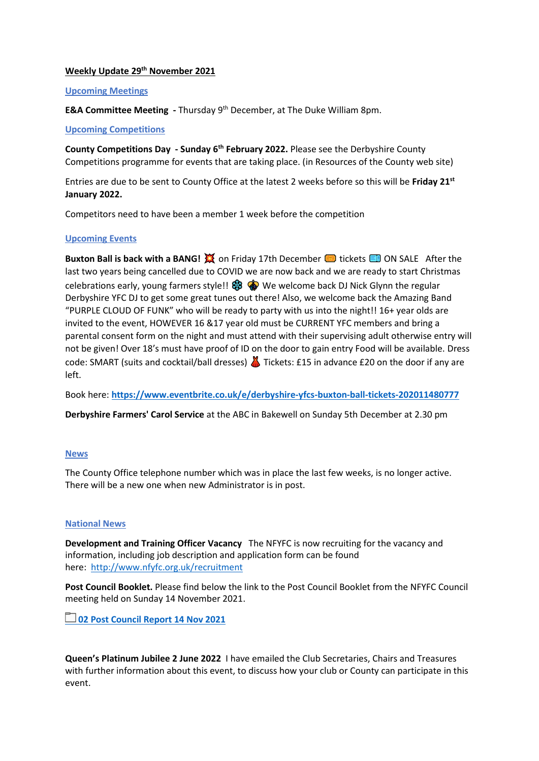## **Weekly Update 29th November 2021**

## **Upcoming Meetings**

**E&A Committee Meeting -** Thursday 9<sup>th</sup> December, at The Duke William 8pm.

## **Upcoming Competitions**

**County Competitions Day - Sunday 6th February 2022.** Please see the Derbyshire County Competitions programme for events that are taking place. (in Resources of the County web site)

Entries are due to be sent to County Office at the latest 2 weeks before so this will be **Friday 21st January 2022.**

Competitors need to have been a member 1 week before the competition

## **Upcoming Events**

**Buxton Ball is back with a BANG!**  $\tilde{X}$  on Friday 17th December **on** tickets **B** ON SALE After the last two years being cancelled due to COVID we are now back and we are ready to start Christmas celebrations early, young farmers style!!  $\mathcal{S}$   $\bullet$  We welcome back DJ Nick Glynn the regular Derbyshire YFC DJ to get some great tunes out there! Also, we welcome back the Amazing Band "PURPLE CLOUD OF FUNK" who will be ready to party with us into the night!! 16+ year olds are invited to the event, HOWEVER 16 &17 year old must be CURRENT YFC members and bring a parental consent form on the night and must attend with their supervising adult otherwise entry will not be given! Over 18's must have proof of ID on the door to gain entry Food will be available. Dress code: SMART (suits and cocktail/ball dresses) **A** Tickets: £15 in advance £20 on the door if any are left.

Book here: **<https://www.eventbrite.co.uk/e/derbyshire-yfcs-buxton-ball-tickets-202011480777>**

**Derbyshire Farmers' Carol Service** at the ABC in Bakewell on Sunday 5th December at 2.30 pm

#### **News**

The County Office telephone number which was in place the last few weeks, is no longer active. There will be a new one when new Administrator is in post.

#### **National News**

**Development and Training Officer Vacancy** The NFYFC is now recruiting for the vacancy and information, including job description and application form can be found here: <http://www.nfyfc.org.uk/recruitment>

**Post Council Booklet.** Please find below the link to the Post Council Booklet from the NFYFC Council meeting held on Sunday 14 November 2021.

**[02 Post Council Report 14 Nov 2021](https://nfyfc.sharepoint.com/:f:/s/ExternalSharing/EiOLyJhqLytKhhw844C5TUYBeC3goV5eMQ7NeYUqxem7tg?e=QBwOGG)**

**Queen's Platinum Jubilee 2 June 2022** I have emailed the Club Secretaries, Chairs and Treasures with further information about this event, to discuss how your club or County can participate in this event.